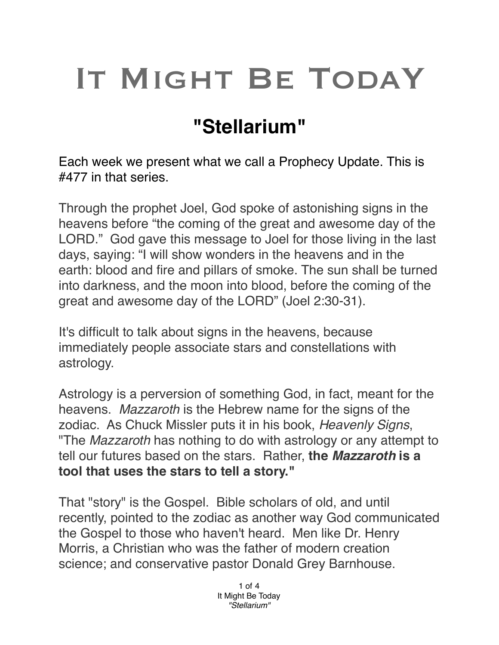## IT MIGHT BE TODAY

## **"Stellarium"**

Each week we present what we call a Prophecy Update. This is #477 in that series.

Through the prophet Joel, God spoke of astonishing signs in the heavens before "the coming of the great and awesome day of the LORD." God gave this message to Joel for those living in the last days, saying: "I will show wonders in the heavens and in the earth: blood and fire and pillars of smoke. The sun shall be turned into darkness, and the moon into blood, before the coming of the great and awesome day of the LORD" (Joel 2:30-31).

It's difficult to talk about signs in the heavens, because immediately people associate stars and constellations with astrology.

Astrology is a perversion of something God, in fact, meant for the heavens. *Mazzaroth* is the Hebrew name for the signs of the zodiac. As Chuck Missler puts it in his book, *Heavenly Signs*, "The *Mazzaroth* has nothing to do with astrology or any attempt to tell our futures based on the stars. Rather, **the** *Mazzaroth* **is a tool that uses the stars to tell a story."**

That "story" is the Gospel. Bible scholars of old, and until recently, pointed to the zodiac as another way God communicated the Gospel to those who haven't heard. Men like Dr. Henry Morris, a Christian who was the father of modern creation science; and conservative pastor Donald Grey Barnhouse.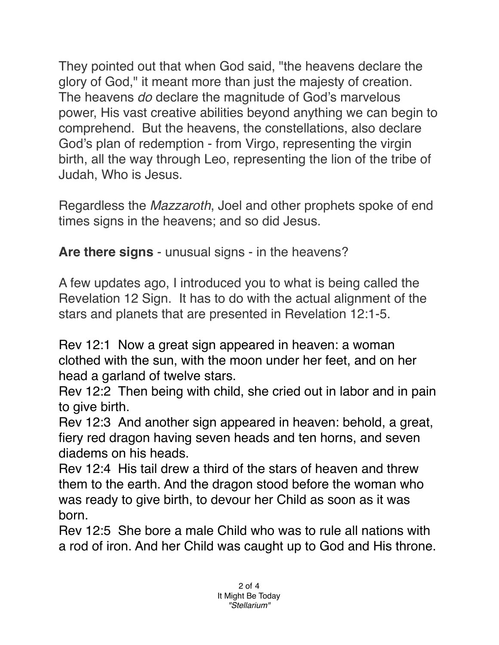They pointed out that when God said, "the heavens declare the glory of God," it meant more than just the majesty of creation. The heavens *do* declare the magnitude of God's marvelous power, His vast creative abilities beyond anything we can begin to comprehend. But the heavens, the constellations, also declare God's plan of redemption - from Virgo, representing the virgin birth, all the way through Leo, representing the lion of the tribe of Judah, Who is Jesus.

Regardless the *Mazzaroth*, Joel and other prophets spoke of end times signs in the heavens; and so did Jesus.

**Are there signs** - unusual signs - in the heavens?

A few updates ago, I introduced you to what is being called the Revelation 12 Sign. It has to do with the actual alignment of the stars and planets that are presented in Revelation 12:1-5.

[Rev 12:1](verseid:66.12.1) Now a great sign appeared in heaven: a woman clothed with the sun, with the moon under her feet, and on her head a garland of twelve stars.

[Rev 12:2](verseid:66.12.2) Then being with child, she cried out in labor and in pain to give birth.

[Rev 12:3](verseid:66.12.3) And another sign appeared in heaven: behold, a great, fiery red dragon having seven heads and ten horns, and seven diadems on his heads.

[Rev 12:4](verseid:66.12.4) His tail drew a third of the stars of heaven and threw them to the earth. And the dragon stood before the woman who was ready to give birth, to devour her Child as soon as it was born.

[Rev 12:5](verseid:66.12.5) She bore a male Child who was to rule all nations with a rod of iron. And her Child was caught up to God and His throne.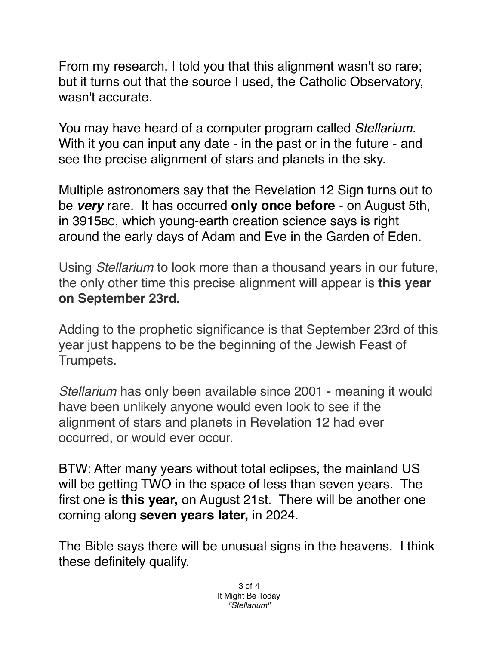From my research, I told you that this alignment wasn't so rare; but it turns out that the source I used, the Catholic Observatory, wasn't accurate.

You may have heard of a computer program called *Stellarium*. With it you can input any date - in the past or in the future - and see the precise alignment of stars and planets in the sky.

Multiple astronomers say that the Revelation 12 Sign turns out to be *very* rare. It has occurred **only once before** - on August 5th, in 3915BC, which young-earth creation science says is right around the early days of Adam and Eve in the Garden of Eden.

Using *Stellarium* to look more than a thousand years in our future, the only other time this precise alignment will appear is **this year on September 23rd.**

Adding to the prophetic significance is that September 23rd of this year just happens to be the beginning of the Jewish Feast of Trumpets.

*Stellarium* has only been available since 2001 - meaning it would have been unlikely anyone would even look to see if the alignment of stars and planets in Revelation 12 had ever occurred, or would ever occur.

BTW: After many years without total eclipses, the mainland US will be getting TWO in the space of less than seven years. The first one is **this year,** on August 21st. There will be another one coming along **seven years later,** in 2024.

The Bible says there will be unusual signs in the heavens. I think these definitely qualify.